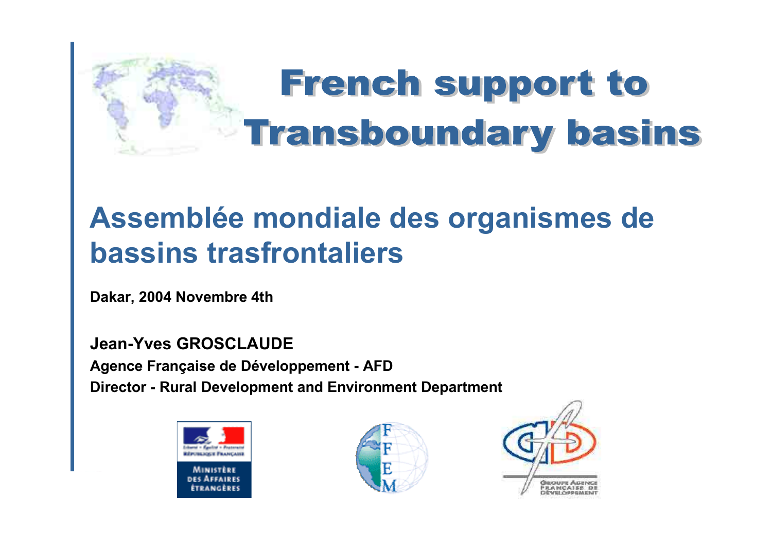

### **Assemblée mondiale des organismes de bassins trasfrontaliers**

**Dakar, 2004 Novembre 4th**

**Jean-Yves GROSCLAUDEAgence Française de Développement - AFD Director - Rural Development and Environment Department**





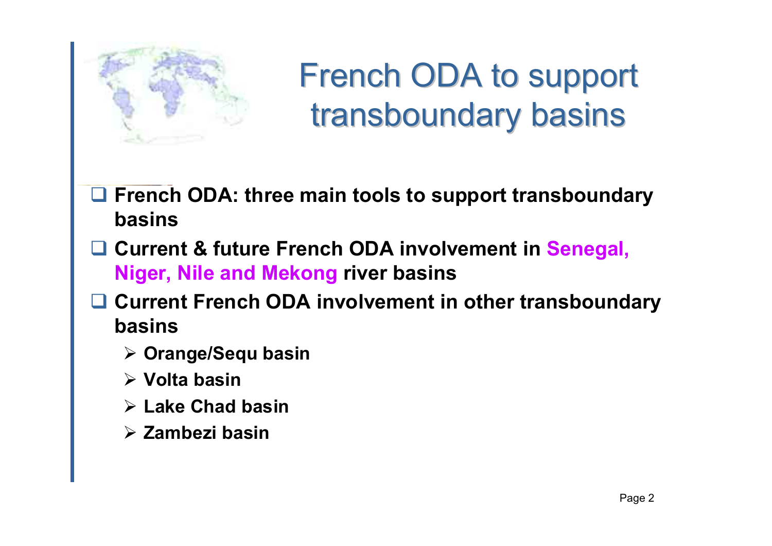

French ODA to support transboundary basins

- **French ODA: three main tools to support transboundary basins**
- **Current & future French ODA involvement in Senegal, Niger, Nile and Mekong river basins**
- **Current French ODA involvement in other transboundary basins**
	- ¾ **Orange/Sequ basin**
	- ¾ **Volta basin**
	- ¾ **Lake Chad basin**
	- ¾ **Zambezi basin**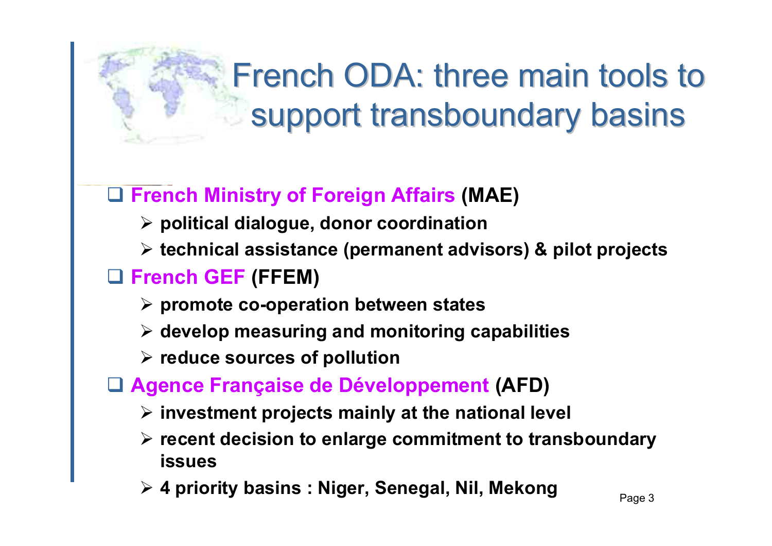# French ODA: three main tools to support transboundary basins

### **French Ministry of Foreign Affairs (MAE)**

- ¾ **political dialogue, donor coordination**
- ¾ **technical assistance (permanent advisors) & pilot projects**

### **French GEF (FFEM)**

- ¾ **promote co-operation between states**
- ¾ **develop measuring and monitoring capabilities**
- ¾ **reduce sources of pollution**
- **Agence Française de Développement (AFD)**
	- ¾ **investment projects mainly at the national level**
	- ¾ **recent decision to enlarge commitment to transboundary issues**
	- ▶ 4 priority basins : Niger, Senegal, Nil, Mekong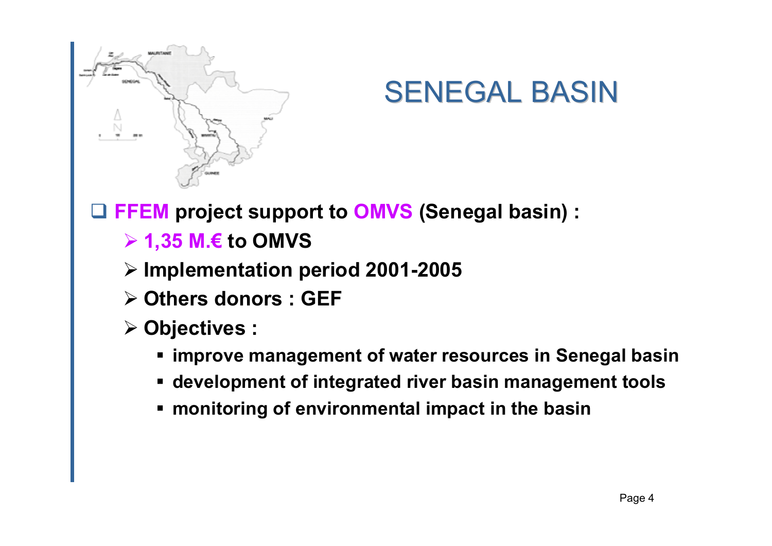

### SENEGAL BASIN

**FFEM project support to OMVS (Senegal basin) :**

- ¾ **1,35 M.€ to OMVS**
- ¾ **Implementation period 2001-2005**
- ¾ **Others donors : GEF**
- ¾ **Objectives :**
	- **improve management of water resources in Senegal basin**
	- **development of integrated river basin management tools**
	- **monitoring of environmental impact in the basin**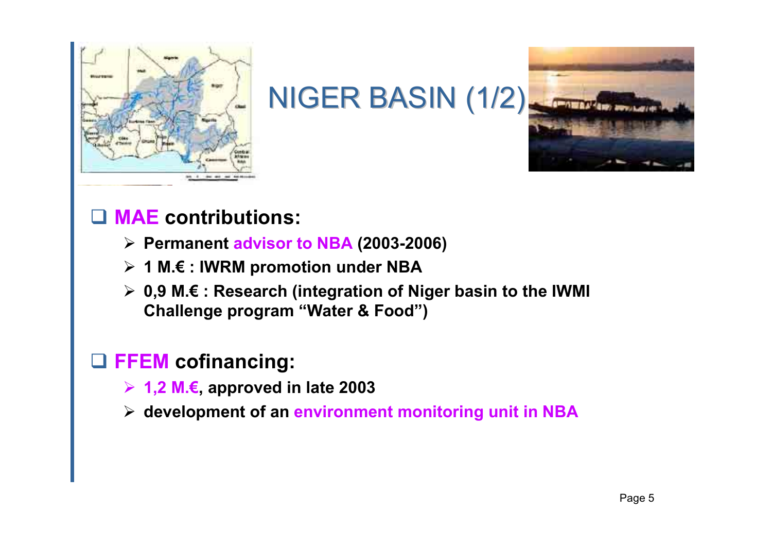

NIGER BASIN (1/2)



#### **MAE contributions:**

- ¾ **Permanent advisor to NBA (2003-2006)**
- ¾ **1 M.€ : IWRM promotion under NBA**
- ¾ **0,9 M.€ : Research (integration of Niger basin to the IWMI Challenge program "Water & Food")**

#### **FFEM cofinancing:**

- ¾ **1,2 M.€, approved in late 2003**
- ¾ **development of an environment monitoring unit in NBA**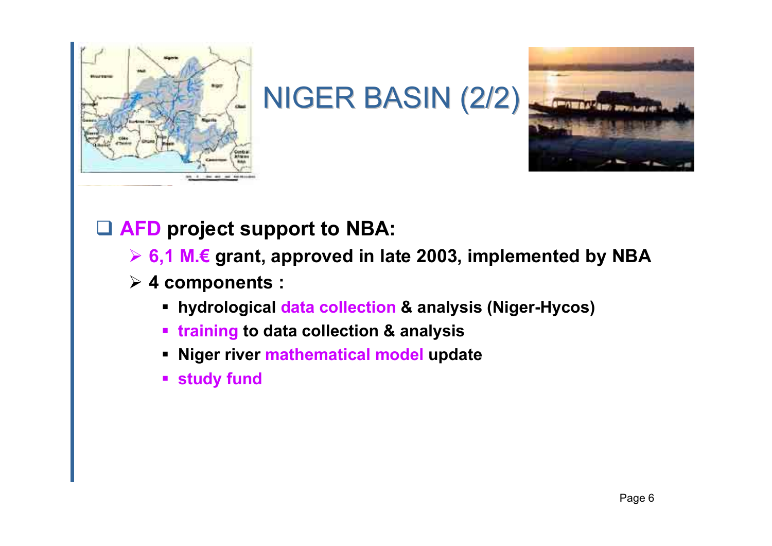

NIGER BASIN (2/2)



### **AFD project support to NBA:**

- ¾ **6,1 M.€ grant, approved in late 2003, implemented by NBA**
- ¾ **4 components :**
	- **hydrological data collection & analysis (Niger-Hycos)**
	- **training to data collection & analysis**
	- **Niger river mathematical model update**
	- **study fund**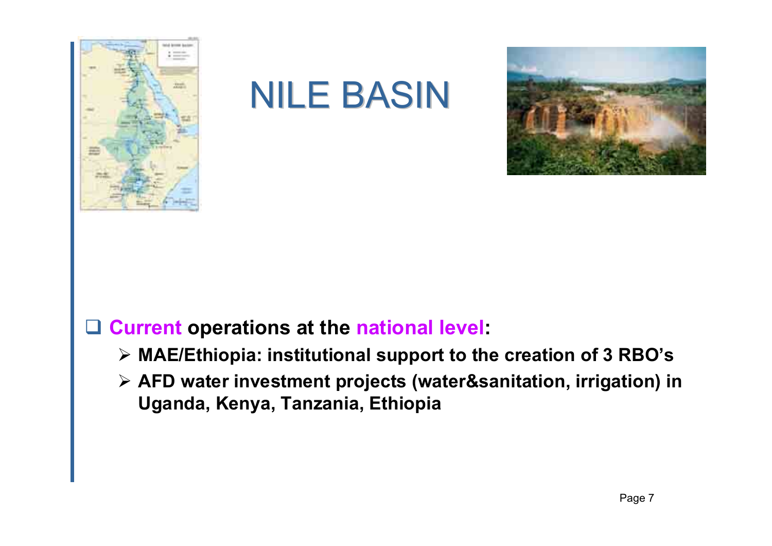

### NILE BASIN



#### **Current operations at the national level:**

- ¾ **MAE/Ethiopia: institutional support to the creation of 3 RBO's**
- ¾ **AFD water investment projects (water&sanitation, irrigation) in Uganda, Kenya, Tanzania, Ethiopia**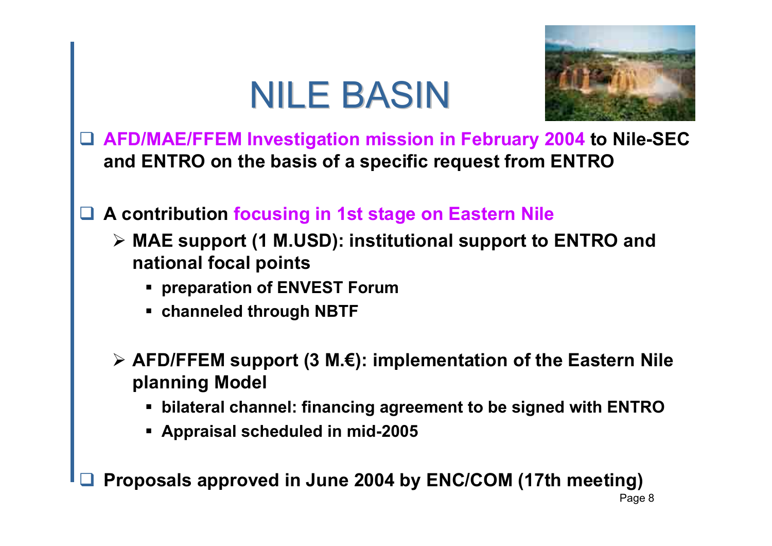# NILE BASIN



- **AFD/MAE/FFEM Investigation mission in February 2004 to Nile-SEC and ENTRO on the basis of a specific request from ENTRO**
- ш **A contribution focusing in 1st stage on Eastern Nile**
	- ¾ **MAE support (1 M.USD): institutional support to ENTRO and national focal points**
		- **preparation of ENVEST Forum**
		- **channeled through NBTF**
	- ¾ **AFD/FFEM support (3 M.€): implementation of the Eastern Nile planning Model**
		- **bilateral channel: financing agreement to be signed with ENTRO**
		- **Appraisal scheduled in mid-2005**

**■ Proposals approved in June 2004 by ENC/COM (17th meeting)**  $\Box$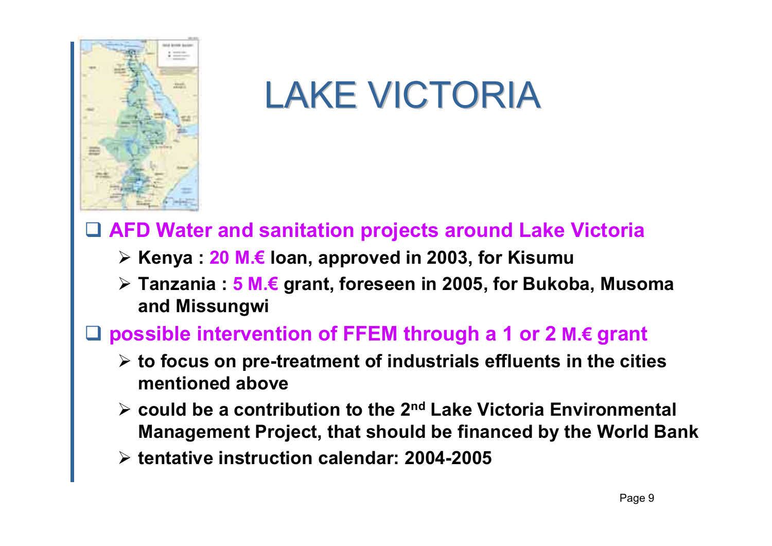

# LAKE VICTORIA

#### $\Box$ **AFD Water and sanitation projects around Lake Victoria**

- ¾ **Kenya : 20 M.€ loan, approved in 2003, for Kisumu**
- ¾ **Tanzania : 5 M.€ grant, foreseen in 2005, for Bukoba, Musoma and Missungwi**

#### **possible intervention of FFEM through a 1 or 2 M.€ grant**

- ¾ **to focus on pre-treatment of industrials effluents in the cities mentioned above**
- ¾ **could be a contribution to the 2nd Lake Victoria Environmental Management Project, that should be financed by the World Bank**
- ¾ **tentative instruction calendar: 2004-2005**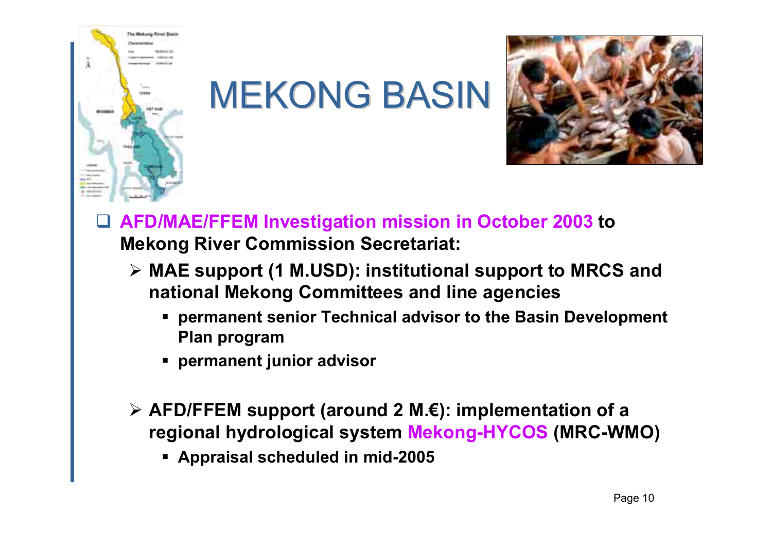

MEKONG BASIN



- $\Box$  **AFD/MAE/FFEM Investigation mission in October 2003 to Mekong River Commission Secretariat:**
	- ¾ **MAE support (1 M.USD): institutional support to MRCS and national Mekong Committees and line agencies**
		- **permanent senior Technical advisor to the Basin Development Plan program**
		- **permanent junior advisor**
	- ¾ **AFD/FFEM support (around 2 M.€): implementation of a regional hydrological system Mekong-HYCOS (MRC-WMO)**
		- **Appraisal scheduled in mid-2005**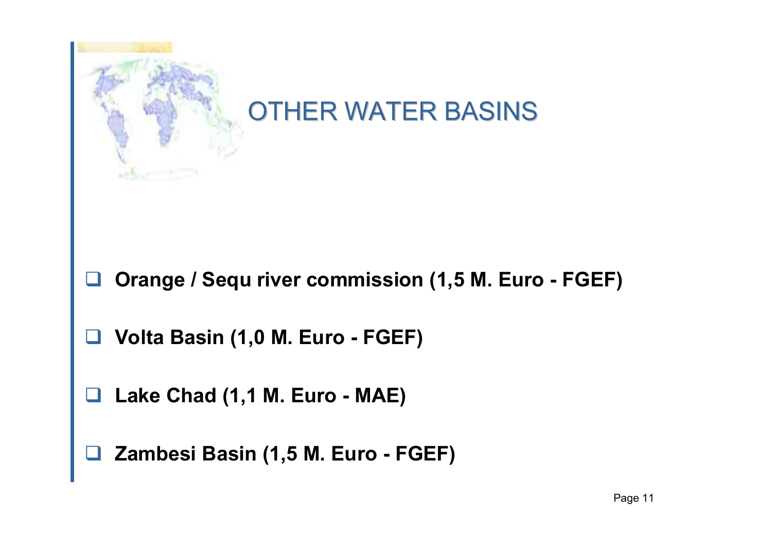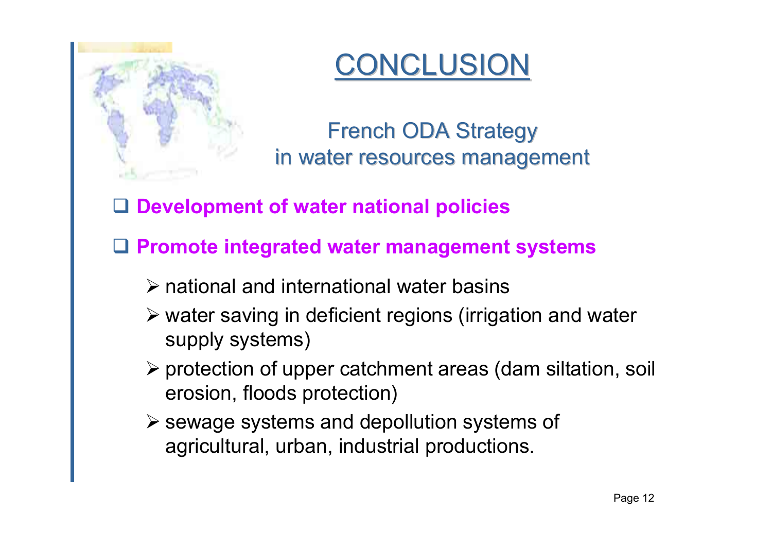

### **CONCLUSION**

**French ODA Strategy** in water resources management

**Development of water national policies**

**Promote integrated water management systems**

- $\triangleright$  national and international water basins
- ¾ water saving in deficient regions (irrigation and water supply systems)
- ¾ protection of upper catchment areas (dam siltation, soil erosion, floods protection)
- $\triangleright$  sewage systems and depollution systems of agricultural, urban, industrial productions.